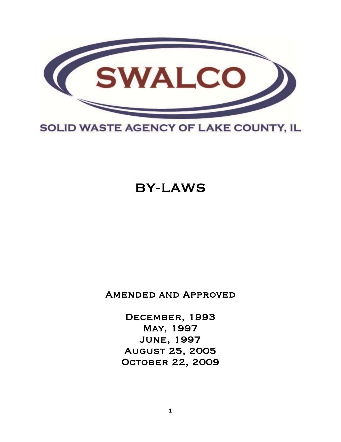

## SOLID WASTE AGENCY OF LAKE COUNTY, IL

# BY-LAWS

Amended and Approved

December, 1993 May, 1997 June, 1997 August 25, 2005 October 22, 2009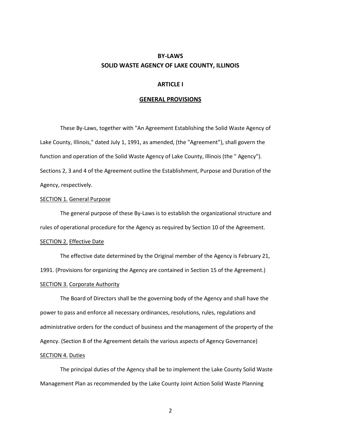## **BY-LAWS SOLID WASTE AGENCY OF LAKE COUNTY, ILLINOIS**

## **ARTICLE I**

#### **GENERAL PROVISIONS**

These By-Laws, together with "An Agreement Establishing the Solid Waste Agency of Lake County, Illinois," dated July 1, 1991, as amended, (the "Agreement"), shall govern the function and operation of the Solid Waste Agency of Lake County, Illinois (the " Agency"). Sections 2, 3 and 4 of the Agreement outline the Establishment, Purpose and Duration of the Agency, respectively.

#### **SECTION 1. General Purpose**

The general purpose of these By-Laws is to establish the organizational structure and rules of operational procedure for the Agency as required by Section 10 of the Agreement.

## SECTION 2. Effective Date

The effective date determined by the Original member of the Agency is February 21, 1991. (Provisions for organizing the Agency are contained in Section 15 of the Agreement.) SECTION 3. Corporate Authority

The Board of Directors shall be the governing body of the Agency and shall have the power to pass and enforce all necessary ordinances, resolutions, rules, regulations and administrative orders for the conduct of business and the management of the property of the Agency. (Section 8 of the Agreement details the various aspects of Agency Governance)

## SECTION 4. Duties

The principal duties of the Agency shall be to implement the Lake County Solid Waste Management Plan as recommended by the Lake County Joint Action Solid Waste Planning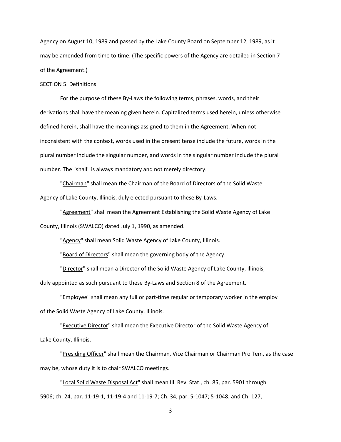Agency on August 10, 1989 and passed by the Lake County Board on September 12, 1989, as it may be amended from time to time. (The specific powers of the Agency are detailed in Section 7 of the Agreement.)

## SECTION 5. Definitions

For the purpose of these By-Laws the following terms, phrases, words, and their derivations shall have the meaning given herein. Capitalized terms used herein, unless otherwise defined herein, shall have the meanings assigned to them in the Agreement. When not inconsistent with the context, words used in the present tense include the future, words in the plural number include the singular number, and words in the singular number include the plural number. The "shall" is always mandatory and not merely directory.

"Chairman" shall mean the Chairman of the Board of Directors of the Solid Waste Agency of Lake County, Illinois, duly elected pursuant to these By-Laws.

"Agreement" shall mean the Agreement Establishing the Solid Waste Agency of Lake County, Illinois (SWALCO) dated July 1, 1990, as amended.

"Agency" shall mean Solid Waste Agency of Lake County, Illinois.

"Board of Directors" shall mean the governing body of the Agency.

"Director" shall mean a Director of the Solid Waste Agency of Lake County, Illinois,

duly appointed as such pursuant to these By-Laws and Section 8 of the Agreement.

"Employee" shall mean any full or part-time regular or temporary worker in the employ of the Solid Waste Agency of Lake County, Illinois.

"Executive Director" shall mean the Executive Director of the Solid Waste Agency of Lake County, Illinois.

"Presiding Officer" shall mean the Chairman, Vice Chairman or Chairman Pro Tem, as the case may be, whose duty it is to chair SWALCO meetings.

"Local Solid Waste Disposal Act" shall mean Ill. Rev. Stat., ch. 85, par. 5901 through 5906; ch. 24, par. 11-19-1, 11-19-4 and 11-19-7; Ch. 34, par. 5-1047; 5-1048; and Ch. 127,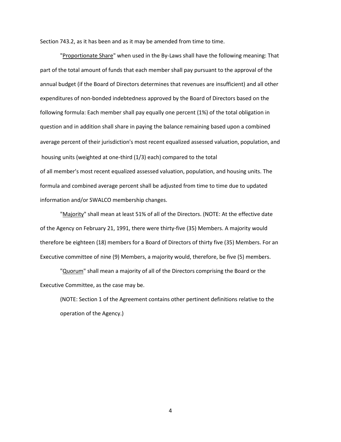Section 743.2, as it has been and as it may be amended from time to time.

"Proportionate Share" when used in the By-Laws shall have the following meaning: That part of the total amount of funds that each member shall pay pursuant to the approval of the annual budget (if the Board of Directors determines that revenues are insufficient) and all other expenditures of non-bonded indebtedness approved by the Board of Directors based on the following formula: Each member shall pay equally one percent (1%) of the total obligation in question and in addition shall share in paying the balance remaining based upon a combined average percent of their jurisdiction's most recent equalized assessed valuation, population, and housing units (weighted at one-third (1/3) each) compared to the total of all member's most recent equalized assessed valuation, population, and housing units. The formula and combined average percent shall be adjusted from time to time due to updated information and/or SWALCO membership changes.

"Majority" shall mean at least 51% of all of the Directors. (NOTE: At the effective date of the Agency on February 21, 1991, there were thirty-five (35) Members. A majority would therefore be eighteen (18) members for a Board of Directors of thirty five (35) Members. For an Executive committee of nine (9) Members, a majority would, therefore, be five (5) members.

"Quorum" shall mean a majority of all of the Directors comprising the Board or the Executive Committee, as the case may be.

(NOTE: Section 1 of the Agreement contains other pertinent definitions relative to the operation of the Agency.)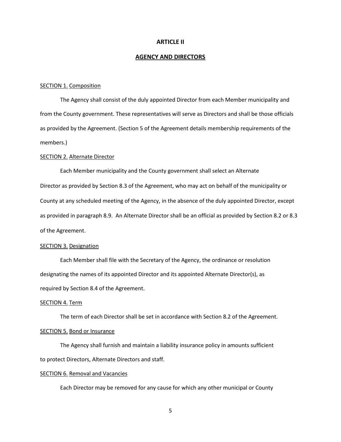#### **ARTICLE II**

#### **AGENCY AND DIRECTORS**

#### SECTION 1. Composition

The Agency shall consist of the duly appointed Director from each Member municipality and from the County government. These representatives will serve as Directors and shall be those officials as provided by the Agreement. (Section 5 of the Agreement details membership requirements of the members.)

#### SECTION 2. Alternate Director

Each Member municipality and the County government shall select an Alternate Director as provided by Section 8.3 of the Agreement, who may act on behalf of the municipality or County at any scheduled meeting of the Agency, in the absence of the duly appointed Director, except as provided in paragraph 8.9. An Alternate Director shall be an official as provided by Section 8.2 or 8.3 of the Agreement.

#### SECTION 3. Designation

Each Member shall file with the Secretary of the Agency, the ordinance or resolution designating the names of its appointed Director and its appointed Alternate Director(s), as required by Section 8.4 of the Agreement.

#### SECTION 4. Term

The term of each Director shall be set in accordance with Section 8.2 of the Agreement. SECTION 5. Bond or Insurance

The Agency shall furnish and maintain a liability insurance policy in amounts sufficient to protect Directors, Alternate Directors and staff.

#### SECTION 6. Removal and Vacancies

Each Director may be removed for any cause for which any other municipal or County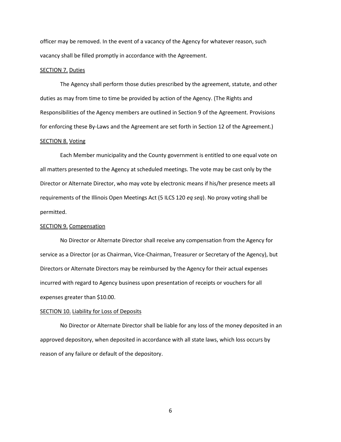officer may be removed. In the event of a vacancy of the Agency for whatever reason, such vacancy shall be filled promptly in accordance with the Agreement.

#### SECTION 7. Duties

The Agency shall perform those duties prescribed by the agreement, statute, and other duties as may from time to time be provided by action of the Agency. (The Rights and Responsibilities of the Agency members are outlined in Section 9 of the Agreement. Provisions for enforcing these By-Laws and the Agreement are set forth in Section 12 of the Agreement.) SECTION 8. Voting

Each Member municipality and the County government is entitled to one equal vote on all matters presented to the Agency at scheduled meetings. The vote may be cast only by the Director or Alternate Director, who may vote by electronic means if his/her presence meets all requirements of the Illinois Open Meetings Act (5 ILCS 120 *eq seq*). No proxy voting shall be permitted.

#### SECTION 9. Compensation

No Director or Alternate Director shall receive any compensation from the Agency for service as a Director (or as Chairman, Vice-Chairman, Treasurer or Secretary of the Agency), but Directors or Alternate Directors may be reimbursed by the Agency for their actual expenses incurred with regard to Agency business upon presentation of receipts or vouchers for all expenses greater than \$10.00.

#### SECTION 10. Liability for Loss of Deposits

No Director or Alternate Director shall be liable for any loss of the money deposited in an approved depository, when deposited in accordance with all state laws, which loss occurs by reason of any failure or default of the depository.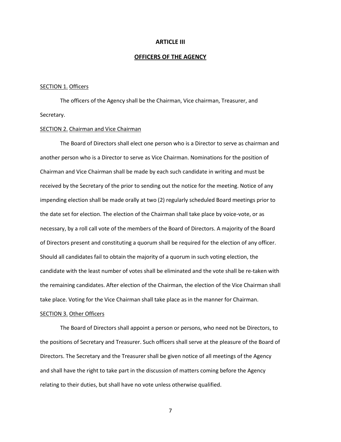#### **ARTICLE III**

#### **OFFICERS OF THE AGENCY**

## SECTION 1. Officers

The officers of the Agency shall be the Chairman, Vice chairman, Treasurer, and Secretary.

### SECTION 2. Chairman and Vice Chairman

The Board of Directors shall elect one person who is a Director to serve as chairman and another person who is a Director to serve as Vice Chairman. Nominations for the position of Chairman and Vice Chairman shall be made by each such candidate in writing and must be received by the Secretary of the prior to sending out the notice for the meeting. Notice of any impending election shall be made orally at two (2) regularly scheduled Board meetings prior to the date set for election. The election of the Chairman shall take place by voice-vote, or as necessary, by a roll call vote of the members of the Board of Directors. A majority of the Board of Directors present and constituting a quorum shall be required for the election of any officer. Should all candidates fail to obtain the majority of a quorum in such voting election, the candidate with the least number of votes shall be eliminated and the vote shall be re-taken with the remaining candidates. After election of the Chairman, the election of the Vice Chairman shall take place. Voting for the Vice Chairman shall take place as in the manner for Chairman.

#### SECTION 3. Other Officers

The Board of Directors shall appoint a person or persons, who need not be Directors, to the positions of Secretary and Treasurer. Such officers shall serve at the pleasure of the Board of Directors. The Secretary and the Treasurer shall be given notice of all meetings of the Agency and shall have the right to take part in the discussion of matters coming before the Agency relating to their duties, but shall have no vote unless otherwise qualified.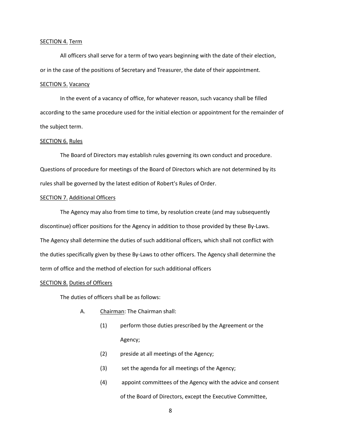#### SECTION 4. Term

All officers shall serve for a term of two years beginning with the date of their election, or in the case of the positions of Secretary and Treasurer, the date of their appointment.

#### SECTION 5. Vacancy

In the event of a vacancy of office, for whatever reason, such vacancy shall be filled according to the same procedure used for the initial election or appointment for the remainder of the subject term.

#### SECTION 6. Rules

The Board of Directors may establish rules governing its own conduct and procedure. Questions of procedure for meetings of the Board of Directors which are not determined by its rules shall be governed by the latest edition of Robert's Rules of Order.

#### SECTION 7. Additional Officers

The Agency may also from time to time, by resolution create (and may subsequently discontinue) officer positions for the Agency in addition to those provided by these By-Laws. The Agency shall determine the duties of such additional officers, which shall not conflict with the duties specifically given by these By-Laws to other officers. The Agency shall determine the term of office and the method of election for such additional officers

## SECTION 8. Duties of Officers

The duties of officers shall be as follows:

- A. Chairman: The Chairman shall:
	- (1) perform those duties prescribed by the Agreement or the Agency;
	- (2) preside at all meetings of the Agency;
	- (3) set the agenda for all meetings of the Agency;
	- (4) appoint committees of the Agency with the advice and consent of the Board of Directors, except the Executive Committee,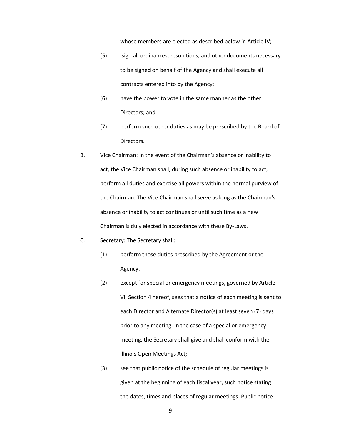whose members are elected as described below in Article IV;

- (5) sign all ordinances, resolutions, and other documents necessary to be signed on behalf of the Agency and shall execute all contracts entered into by the Agency;
- (6) have the power to vote in the same manner as the other Directors; and
- (7) perform such other duties as may be prescribed by the Board of Directors.
- B. Vice Chairman: In the event of the Chairman's absence or inability to act, the Vice Chairman shall, during such absence or inability to act, perform all duties and exercise all powers within the normal purview of the Chairman. The Vice Chairman shall serve as long as the Chairman's absence or inability to act continues or until such time as a new Chairman is duly elected in accordance with these By-Laws.
- C. Secretary: The Secretary shall:
	- (1) perform those duties prescribed by the Agreement or the Agency;
	- (2) except for special or emergency meetings, governed by Article VI, Section 4 hereof, sees that a notice of each meeting is sent to each Director and Alternate Director(s) at least seven (7) days prior to any meeting. In the case of a special or emergency meeting, the Secretary shall give and shall conform with the Illinois Open Meetings Act;
	- (3) see that public notice of the schedule of regular meetings is given at the beginning of each fiscal year, such notice stating the dates, times and places of regular meetings. Public notice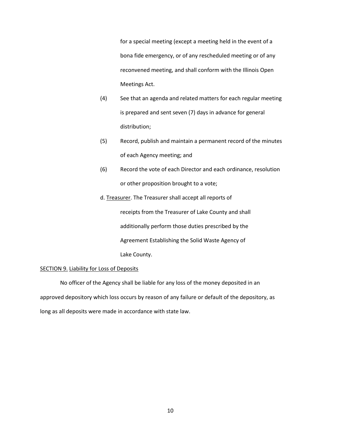for a special meeting (except a meeting held in the event of a bona fide emergency, or of any rescheduled meeting or of any reconvened meeting, and shall conform with the Illinois Open Meetings Act.

- (4) See that an agenda and related matters for each regular meeting is prepared and sent seven (7) days in advance for general distribution;
- (5) Record, publish and maintain a permanent record of the minutes of each Agency meeting; and
- (6) Record the vote of each Director and each ordinance, resolution or other proposition brought to a vote;
- d. Treasurer. The Treasurer shall accept all reports of receipts from the Treasurer of Lake County and shall additionally perform those duties prescribed by the Agreement Establishing the Solid Waste Agency of Lake County.

## SECTION 9. Liability for Loss of Deposits

No officer of the Agency shall be liable for any loss of the money deposited in an approved depository which loss occurs by reason of any failure or default of the depository, as long as all deposits were made in accordance with state law.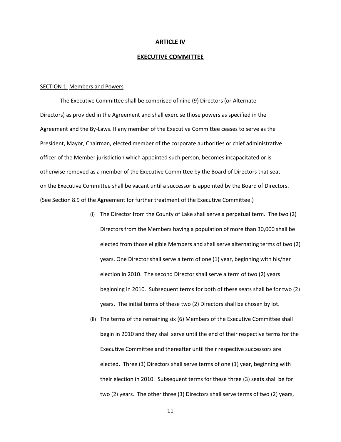#### **ARTICLE IV**

#### **EXECUTIVE COMMITTEE**

#### SECTION 1. Members and Powers

The Executive Committee shall be comprised of nine (9) Directors (or Alternate Directors) as provided in the Agreement and shall exercise those powers as specified in the Agreement and the By-Laws. If any member of the Executive Committee ceases to serve as the President, Mayor, Chairman, elected member of the corporate authorities or chief administrative officer of the Member jurisdiction which appointed such person, becomes incapacitated or is otherwise removed as a member of the Executive Committee by the Board of Directors that seat on the Executive Committee shall be vacant until a successor is appointed by the Board of Directors. (See Section 8.9 of the Agreement for further treatment of the Executive Committee.)

- (i) The Director from the County of Lake shall serve a perpetual term. The two (2) Directors from the Members having a population of more than 30,000 shall be elected from those eligible Members and shall serve alternating terms of two (2) years. One Director shall serve a term of one (1) year, beginning with his/her election in 2010. The second Director shall serve a term of two (2) years beginning in 2010. Subsequent terms for both of these seats shall be for two (2) years. The initial terms of these two (2) Directors shall be chosen by lot.
- (ii) The terms of the remaining six (6) Members of the Executive Committee shall begin in 2010 and they shall serve until the end of their respective terms for the Executive Committee and thereafter until their respective successors are elected. Three (3) Directors shall serve terms of one (1) year, beginning with their election in 2010. Subsequent terms for these three (3) seats shall be for two (2) years. The other three (3) Directors shall serve terms of two (2) years,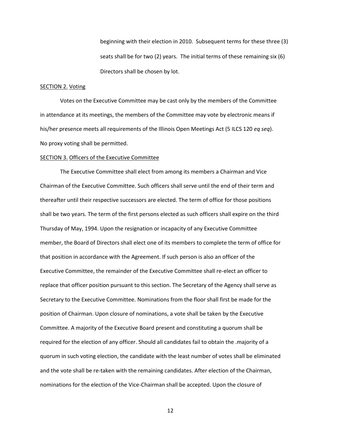beginning with their election in 2010. Subsequent terms for these three (3) seats shall be for two (2) years. The initial terms of these remaining six (6) Directors shall be chosen by lot.

## SECTION 2. Voting

Votes on the Executive Committee may be cast only by the members of the Committee in attendance at its meetings, the members of the Committee may vote by electronic means if his/her presence meets all requirements of the Illinois Open Meetings Act (5 ILCS 120 *eq seq*). No proxy voting shall be permitted.

#### SECTION 3. Officers of the Executive Committee

The Executive Committee shall elect from among its members a Chairman and Vice Chairman of the Executive Committee. Such officers shall serve until the end of their term and thereafter until their respective successors are elected. The term of office for those positions shall be two years. The term of the first persons elected as such officers shall expire on the third Thursday of May, 1994. Upon the resignation or incapacity of any Executive Committee member, the Board of Directors shall elect one of its members to complete the term of office for that position in accordance with the Agreement. If such person is also an officer of the Executive Committee, the remainder of the Executive Committee shall re-elect an officer to replace that officer position pursuant to this section. The Secretary of the Agency shall serve as Secretary to the Executive Committee. Nominations from the floor shall first be made for the position of Chairman. Upon closure of nominations, a vote shall be taken by the Executive Committee. A majority of the Executive Board present and constituting a quorum shall be required for the election of any officer. Should all candidates fail to obtain the .majority of a quorum in such voting election, the candidate with the least number of votes shall be eliminated and the vote shall be re-taken with the remaining candidates. After election of the Chairman, nominations for the election of the Vice-Chairman shall be accepted. Upon the closure of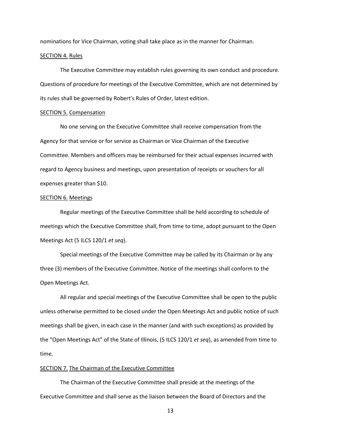nominations for Vice Chairman, voting shall take place as in the manner for Chairman.

#### SECTION 4. Rules

The Executive Committee may establish rules governing its own conduct and procedure. Questions of procedure for meetings of the Executive Committee, which are not determined by its rules shall be governed by Robert's Rules of Order, latest edition.

#### SECTION 5. Compensation

No one serving on the Executive Committee shall receive compensation from the Agency for that service or for service as Chairman or Vice Chairman of the Executive Committee. Members and officers may be reimbursed for their actual expenses incurred with regard to Agency business and meetings, upon presentation of receipts or vouchers for all expenses greater than \$10.

#### SECTION 6. Meetings

Regular meetings of the Executive Committee shall be held according to schedule of meetings which the Executive Committee shall, from time to time, adopt pursuant to the Open Meetings Act (5 ILCS 120/1 *et seq*).

Special meetings of the Executive Committee may be called by its Chairman or by any three (3) members of the Executive Committee. Notice of the meetings shall conform to the Open Meetings Act.

All regular and special meetings of the Executive Committee shall be open to the public unless otherwise permitted to be closed under the Open Meetings Act and public notice of such meetings shall be given, in each case in the manner (and with such exceptions) as provided by the "Open Meetings Act" of the State of Illinois, (5 ILCS 120/1 *et seq*), as amended from time to time.

#### SECTION 7. The Chairman of the Executive Committee

The Chairman of the Executive Committee shall preside at the meetings of the Executive Committee and shall serve as the liaison between the Board of Directors and the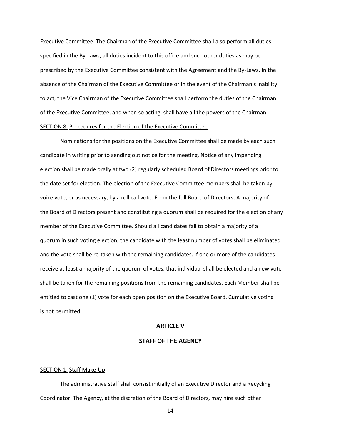Executive Committee. The Chairman of the Executive Committee shall also perform all duties specified in the By-Laws, all duties incident to this office and such other duties as may be prescribed by the Executive Committee consistent with the Agreement and the By-Laws. In the absence of the Chairman of the Executive Committee or in the event of the Chairman's inability to act, the Vice Chairman of the Executive Committee shall perform the duties of the Chairman of the Executive Committee, and when so acting, shall have all the powers of the Chairman. SECTION 8. Procedures for the Election of the Executive Committee

Nominations for the positions on the Executive Committee shall be made by each such candidate in writing prior to sending out notice for the meeting. Notice of any impending election shall be made orally at two (2) regularly scheduled Board of Directors meetings prior to the date set for election. The election of the Executive Committee members shall be taken by voice vote, or as necessary, by a roll call vote. From the full Board of Directors, A majority of the Board of Directors present and constituting a quorum shall be required for the election of any member of the Executive Committee. Should all candidates fail to obtain a majority of a quorum in such voting election, the candidate with the least number of votes shall be eliminated and the vote shall be re-taken with the remaining candidates. If one or more of the candidates receive at least a majority of the quorum of votes, that individual shall be elected and a new vote shall be taken for the remaining positions from the remaining candidates. Each Member shall be entitled to cast one (1) vote for each open position on the Executive Board. Cumulative voting is not permitted.

## **ARTICLE V**

#### **STAFF OF THE AGENCY**

#### SECTION 1. Staff Make-Up

The administrative staff shall consist initially of an Executive Director and a Recycling Coordinator. The Agency, at the discretion of the Board of Directors, may hire such other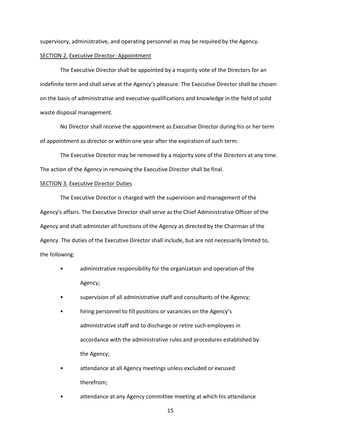supervisory, administrative, and operating personnel as may be required by the Agency.

#### SECTION 2. Executive Director- Appointment

The Executive Director shall be appointed by a majority vote of the Directors for an indefinite term and shall serve at the Agency's pleasure. The Executive Director shall be chosen on the basis of administrative and executive qualifications and knowledge in the field of solid waste disposal management.

No Director shall receive the appointment as Executive Director during his or her term of appointment as director or within one year after the expiration of such term.

The Executive Director may be removed by a majority vote of the Directors at any time. The action of the Agency in removing the Executive Director shall be final.

#### SECTION 3. Executive Director Duties

The Executive Director is charged with the supervision and management of the Agency's affairs. The Executive Director shall serve as the Chief Administrative Officer of the Agency and shall administer all functions of the Agency as directed by the Chairman of the Agency. The duties of the Executive Director shall include, but are not necessarily limited to, the following:

- administrative responsibility for the organization and operation of the Agency;
- supervision of all administrative staff and consultants of the Agency;
- hiring personnel to fill positions or vacancies on the Agency's administrative staff and to discharge or retire such employees in accordance with the administrative rules and procedures established by the Agency;
- attendance at all Agency meetings unless excluded or excused therefrom;
- attendance at any Agency committee meeting at which his attendance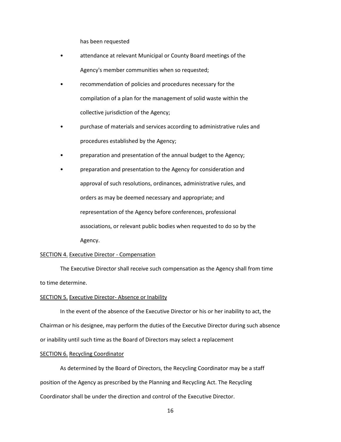has been requested

- attendance at relevant Municipal or County Board meetings of the Agency's member communities when so requested;
- recommendation of policies and procedures necessary for the compilation of a plan for the management of solid waste within the collective jurisdiction of the Agency;
- purchase of materials and services according to administrative rules and procedures established by the Agency;
- preparation and presentation of the annual budget to the Agency;
- preparation and presentation to the Agency for consideration and approval of such resolutions, ordinances, administrative rules, and orders as may be deemed necessary and appropriate; and representation of the Agency before conferences, professional associations, or relevant public bodies when requested to do so by the Agency.

## SECTION 4. Executive Director - Compensation

The Executive Director shall receive such compensation as the Agency shall from time to time determine.

#### SECTION 5. Executive Director-Absence or Inability

In the event of the absence of the Executive Director or his or her inability to act, the Chairman or his designee, may perform the duties of the Executive Director during such absence or inability until such time as the Board of Directors may select a replacement

#### SECTION 6. Recycling Coordinator

As determined by the Board of Directors, the Recycling Coordinator may be a staff position of the Agency as prescribed by the Planning and Recycling Act. The Recycling Coordinator shall be under the direction and control of the Executive Director.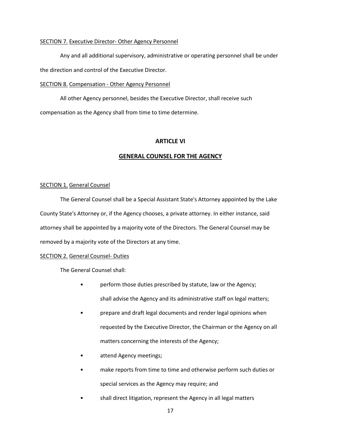## SECTION 7. Executive Director- Other Agency Personnel

Any and all additional supervisory, administrative or operating personnel shall be under

the direction and control of the Executive Director.

## SECTION 8. Compensation - Other Agency Personnel

All other Agency personnel, besides the Executive Director, shall receive such compensation as the Agency shall from time to time determine.

## **ARTICLE VI**

## **GENERAL COUNSEL FOR THE AGENCY**

#### SECTION 1. General Counsel

The General Counsel shall be a Special Assistant State's Attorney appointed by the Lake County State's Attorney or, if the Agency chooses, a private attorney. In either instance, said attorney shall be appointed by a majority vote of the Directors. The General Counsel may be removed by a majority vote of the Directors at any time.

#### SECTION 2. General Counsel- Duties

The General Counsel shall:

- perform those duties prescribed by statute, law or the Agency; shall advise the Agency and its administrative staff on legal matters;
- prepare and draft legal documents and render legal opinions when requested by the Executive Director, the Chairman or the Agency on all matters concerning the interests of the Agency;
- attend Agency meetings;
- make reports from time to time and otherwise perform such duties or special services as the Agency may require; and
- shall direct litigation, represent the Agency in all legal matters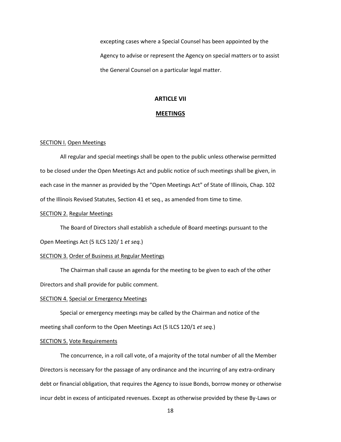excepting cases where a Special Counsel has been appointed by the Agency to advise or represent the Agency on special matters or to assist the General Counsel on a particular legal matter.

#### **ARTICLE VII**

## **MEETINGS**

#### SECTION I. Open Meetings

All regular and special meetings shall be open to the public unless otherwise permitted to be closed under the Open Meetings Act and public notice of such meetings shall be given, in each case in the manner as provided by the "Open Meetings Act" of State of Illinois, Chap. 102 of the Illinois Revised Statutes, Section 41 et seq., as amended from time to time.

#### SECTION 2. Regular Meetings

The Board of Directors shall establish a schedule of Board meetings pursuant to the

Open Meetings Act (5 ILCS 120/ 1 *et seq.*)

#### SECTION 3. Order of Business at Regular Meetings

The Chairman shall cause an agenda for the meeting to be given to each of the other Directors and shall provide for public comment.

#### SECTION 4. Special or Emergency Meetings

Special or emergency meetings may be called by the Chairman and notice of the meeting shall conform to the Open Meetings Act (5 ILCS 120/1 *et seq.*)

#### SECTION 5. Vote Requirements

The concurrence, in a roll call vote, of a majority of the total number of all the Member Directors is necessary for the passage of any ordinance and the incurring of any extra-ordinary debt or financial obligation, that requires the Agency to issue Bonds, borrow money or otherwise incur debt in excess of anticipated revenues. Except as otherwise provided by these By-Laws or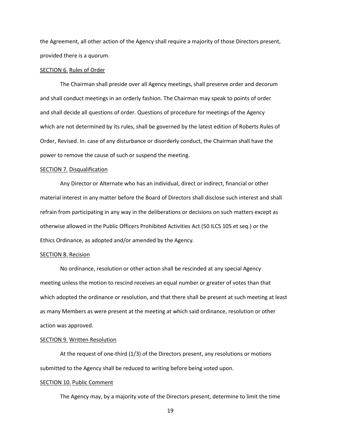the Agreement, all other action of the Agency shall require a majority of those Directors present, provided there is a quorum.

#### SECTION 6. Rules of Order

The Chairman shall preside over all Agency meetings, shall preserve order and decorum and shall conduct meetings in an orderly fashion. The Chairman may speak to points of order and shall decide all questions of order. Questions of procedure for meetings of the Agency which are not determined by its rules, shall be governed by the latest edition of Roberts Rules of Order, Revised. In. case of any disturbance or disorderly conduct, the Chairman shall have the power to remove the cause of such or suspend the meeting.

#### SECTION 7. Disqualification

Any Director or Alternate who has an individual, direct or indirect, financial or other material interest in any matter before the Board of Directors shall disclose such interest and shall refrain from participating in any way in the deliberations or decisions on such matters except as otherwise allowed in the Public Officers Prohibited Activities Act (50 ILCS 105 et seq.) or the Ethics Ordinance, as adopted and/or amended by the Agency.

#### SECTION 8. Recision

No ordinance, resolution or other action shall be rescinded at any special Agency meeting unless the motion to rescind receives an equal number or greater of votes than that which adopted the ordinance or resolution, and that there shall be present at such meeting at least as many Members as were present at the meeting at which said ordinance, resolution or other action was approved.

#### SECTION 9. Written Resolution

At the request of one-third (1/3) of the Directors present, any resolutions or motions submitted to the Agency shall be reduced to writing before being voted upon.

#### SECTION 10. Public Comment

The Agency may, by a majority vote of the Directors present, determine to limit the time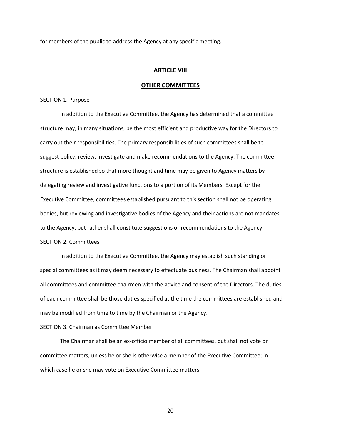for members of the public to address the Agency at any specific meeting.

#### **ARTICLE VIII**

#### **OTHER COMMITTEES**

#### SECTION 1. Purpose

In addition to the Executive Committee, the Agency has determined that a committee structure may, in many situations, be the most efficient and productive way for the Directors to carry out their responsibilities. The primary responsibilities of such committees shall be to suggest policy, review, investigate and make recommendations to the Agency. The committee structure is established so that more thought and time may be given to Agency matters by delegating review and investigative functions to a portion of its Members. Except for the Executive Committee, committees established pursuant to this section shall not be operating bodies, but reviewing and investigative bodies of the Agency and their actions are not mandates to the Agency, but rather shall constitute suggestions or recommendations to the Agency.

## SECTION 2. Committees

In addition to the Executive Committee, the Agency may establish such standing or special committees as it may deem necessary to effectuate business. The Chairman shall appoint all committees and committee chairmen with the advice and consent of the Directors. The duties of each committee shall be those duties specified at the time the committees are established and may be modified from time to time by the Chairman or the Agency.

#### SECTION 3. Chairman as Committee Member

The Chairman shall be an ex-officio member of all committees, but shall not vote on committee matters, unless he or she is otherwise a member of the Executive Committee; in which case he or she may vote on Executive Committee matters.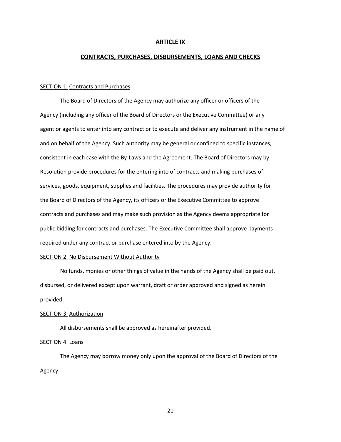#### **ARTICLE IX**

#### **CONTRACTS, PURCHASES, DISBURSEMENTS, LOANS AND CHECKS**

#### SECTION 1. Contracts and Purchases

The Board of Directors of the Agency may authorize any officer or officers of the Agency (including any officer of the Board of Directors or the Executive Committee) or any agent or agents to enter into any contract or to execute and deliver any instrument in the name of and on behalf of the Agency. Such authority may be general or confined to specific instances, consistent in each case with the By-Laws and the Agreement. The Board of Directors may by Resolution provide procedures for the entering into of contracts and making purchases of services, goods, equipment, supplies and facilities. The procedures may provide authority for the Board of Directors of the Agency, its officers or the Executive Committee to approve contracts and purchases and may make such provision as the Agency deems appropriate for public bidding for contracts and purchases. The Executive Committee shall approve payments required under any contract or purchase entered into by the Agency.

#### SECTION 2. No Disbursement Without Authority

No funds, monies or other things of value in the hands of the Agency shall be paid out, disbursed, or delivered except upon warrant, draft or order approved and signed as herein provided.

#### SECTION 3. Authorization

All disbursements shall be approved as hereinafter provided.

#### SECTION 4. Loans

The Agency may borrow money only upon the approval of the Board of Directors of the Agency.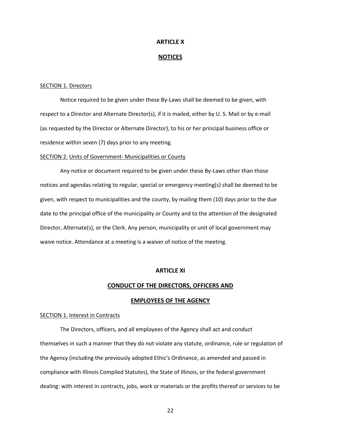#### **ARTICLE X**

#### **NOTICES**

#### SECTION 1. Directors

Notice required to be given under these By-Laws shall be deemed to be given, with respect to a Director and Alternate Director(s), if it is mailed, either by U. S. Mail or by e-mail (as requested by the Director or Alternate Director), to his or her principal business office or residence within seven (7) days prior to any meeting.

#### SECTION 2. Units of Government- Municipalities or County

Any notice or document required to be given under these By-Laws other than those notices and agendas relating to regular, special or emergency meeting(s) shall be deemed to be given, with respect to municipalities and the county, by mailing them (10) days prior to the due date to the principal office of the municipality or County and to the attention of the designated Director, Alternate(s), or the Clerk. Any person, municipality or unit of local government may waive notice. Attendance at a meeting is a waiver of notice of the meeting.

#### **ARTICLE XI**

#### **CONDUCT OF THE DIRECTORS, OFFICERS AND**

#### **EMPLOYEES OF THE AGENCY**

#### SECTION 1. Interest in Contracts

The Directors, officers, and all employees of the Agency shall act and conduct themselves in such a manner that they do not violate any statute, ordinance, rule or regulation of the Agency (including the previously adopted Ethic's Ordinance, as amended and passed in compliance with Illinois Compiled Statutes), the State of Illinois, or the federal government dealing: with interest in contracts, jobs, work or materials or the profits thereof or services to be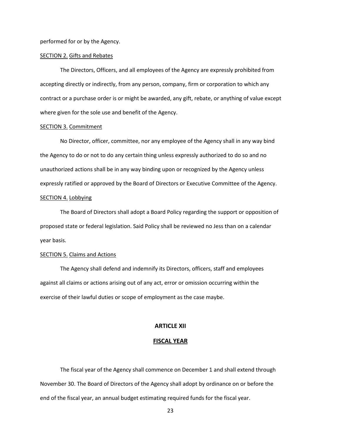performed for or by the Agency.

#### SECTION 2. Gifts and Rebates

The Directors, Officers, and all employees of the Agency are expressly prohibited from accepting directly or indirectly, from any person, company, firm or corporation to which any contract or a purchase order is or might be awarded, any gift, rebate, or anything of value except where given for the sole use and benefit of the Agency.

#### SECTION 3. Commitment

No Director, officer, committee, nor any employee of the Agency shall in any way bind the Agency to do or not to do any certain thing unless expressly authorized to do so and no unauthorized actions shall be in any way binding upon or recognized by the Agency unless expressly ratified or approved by the Board of Directors or Executive Committee of the Agency. SECTION 4. Lobbying

The Board of Directors shall adopt a Board Policy regarding the support or opposition of proposed state or federal legislation. Said Policy shall be reviewed no Jess than on a calendar year basis.

## SECTION 5. Claims and Actions

The Agency shall defend and indemnify its Directors, officers, staff and employees against all claims or actions arising out of any act, error or omission occurring within the exercise of their lawful duties or scope of employment as the case maybe.

## **ARTICLE XII**

#### **FISCAL YEAR**

The fiscal year of the Agency shall commence on December 1 and shall extend through November 30. The Board of Directors of the Agency shall adopt by ordinance on or before the end of the fiscal year, an annual budget estimating required funds for the fiscal year.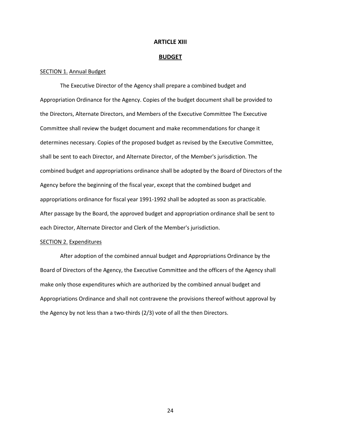#### **ARTICLE XIII**

#### **BUDGET**

#### SECTION 1. Annual Budget

The Executive Director of the Agency shall prepare a combined budget and Appropriation Ordinance for the Agency. Copies of the budget document shall be provided to the Directors, Alternate Directors, and Members of the Executive Committee The Executive Committee shall review the budget document and make recommendations for change it determines necessary. Copies of the proposed budget as revised by the Executive Committee, shall be sent to each Director, and Alternate Director, of the Member's jurisdiction. The combined budget and appropriations ordinance shall be adopted by the Board of Directors of the Agency before the beginning of the fiscal year, except that the combined budget and appropriations ordinance for fiscal year 1991-1992 shall be adopted as soon as practicable. After passage by the Board, the approved budget and appropriation ordinance shall be sent to each Director, Alternate Director and Clerk of the Member's jurisdiction.

## SECTION 2. Expenditures

After adoption of the combined annual budget and Appropriations Ordinance by the Board of Directors of the Agency, the Executive Committee and the officers of the Agency shall make only those expenditures which are authorized by the combined annual budget and Appropriations Ordinance and shall not contravene the provisions thereof without approval by the Agency by not less than a two-thirds (2/3) vote of all the then Directors.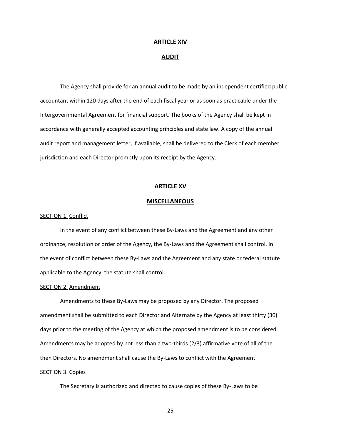#### **ARTICLE XIV**

#### **AUDIT**

The Agency shall provide for an annual audit to be made by an independent certified public accountant within 120 days after the end of each fiscal year or as soon as practicable under the Intergovernmental Agreement for financial support. The books of the Agency shall be kept in accordance with generally accepted accounting principles and state law. A copy of the annual audit report and management letter, if available, shall be delivered to the Clerk of each member jurisdiction and each Director promptly upon its receipt by the Agency.

#### **ARTICLE XV**

#### **MISCELLANEOUS**

#### SECTION 1. Conflict

In the event of any conflict between these By-Laws and the Agreement and any other ordinance, resolution or order of the Agency, the By-Laws and the Agreement shall control. In the event of conflict between these By-Laws and the Agreement and any state or federal statute applicable to the Agency, the statute shall control.

#### SECTION 2. Amendment

Amendments to these By-Laws may be proposed by any Director. The proposed amendment shall be submitted to each Director and Alternate by the Agency at least thirty (30) days prior to the meeting of the Agency at which the proposed amendment is to be considered. Amendments may be adopted by not less than a two-thirds (2/3) affirmative vote of all of the then Directors. No amendment shall cause the By-Laws to conflict with the Agreement.

#### SECTION 3. Copies

The Secretary is authorized and directed to cause copies of these By-Laws to be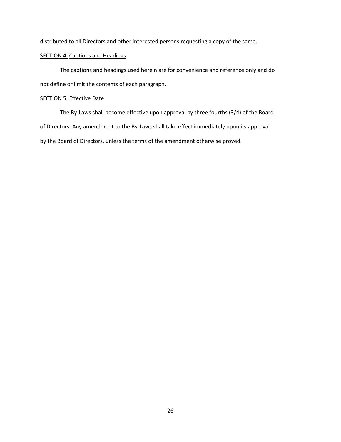distributed to all Directors and other interested persons requesting a copy of the same.

## SECTION 4. Captions and Headings

The captions and headings used herein are for convenience and reference only and do not define or limit the contents of each paragraph.

## SECTION 5. Effective Date

The By-Laws shall become effective upon approval by three fourths (3/4) of the Board of Directors. Any amendment to the By-Laws shall take effect immediately upon its approval by the Board of Directors, unless the terms of the amendment otherwise proved.